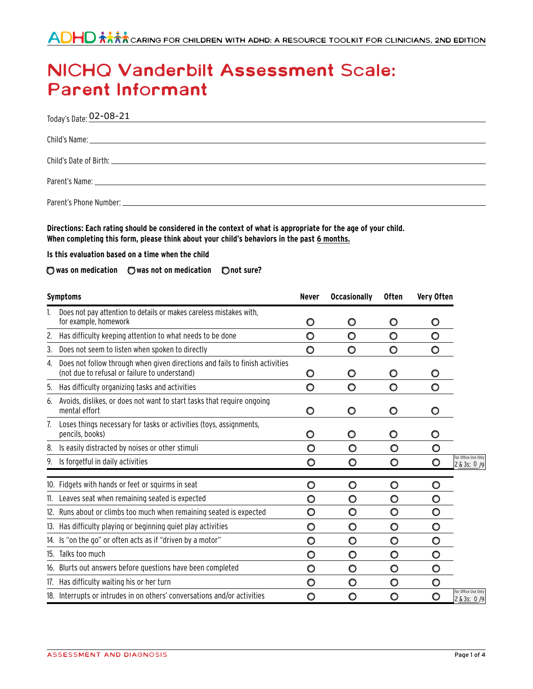# **NICHQ Vanderbilt Assessment Scale: Parent Informant**

| Today's Date: 02-08-21<br>the control of the control of the control of the control of the control of the control of the control of the control of the control of the control of the control of the control of the control of the control of the control |
|---------------------------------------------------------------------------------------------------------------------------------------------------------------------------------------------------------------------------------------------------------|
|                                                                                                                                                                                                                                                         |
|                                                                                                                                                                                                                                                         |
|                                                                                                                                                                                                                                                         |
|                                                                                                                                                                                                                                                         |

Directions: Each rating should be considered in the context of what is appropriate for the age of your child. **When completing this form, please think about your child's behaviors in the past 6 months.**

**Is this evaluation based on a time when the child** 

## **was on medication was not on medication not sure?**

|    | <b>Symptoms</b>                                                                                                               | <b>Never</b> | <b>Occasionally</b> | <b>Often</b> | Very Often |                                     |
|----|-------------------------------------------------------------------------------------------------------------------------------|--------------|---------------------|--------------|------------|-------------------------------------|
|    | Does not pay attention to details or makes careless mistakes with,<br>for example, homework                                   | O            | O                   | O            | O          |                                     |
| 2. | Has difficulty keeping attention to what needs to be done                                                                     | O            | O                   | O            | O          |                                     |
| 3. | Does not seem to listen when spoken to directly                                                                               | $\circ$      | $\circ$             | O            | O          |                                     |
| 4. | Does not follow through when given directions and fails to finish activities<br>(not due to refusal or failure to understand) | O            | O                   | O            | O          |                                     |
| 5. | Has difficulty organizing tasks and activities                                                                                | $\circ$      | O                   | O            | O          |                                     |
| 6. | Avoids, dislikes, or does not want to start tasks that require ongoing<br>mental effort                                       | O            | O                   | O            | O          |                                     |
| 7. | Loses things necessary for tasks or activities (toys, assignments,<br>pencils, books)                                         | O            | O                   | O            | O          |                                     |
| 8. | Is easily distracted by noises or other stimuli                                                                               | O            | O                   | O            | O          |                                     |
| 9. | Is forgetful in daily activities                                                                                              | O            | O                   | O            | O          | For Office Use Only<br>2 & 3s: 0 /9 |
|    | 10. Fidgets with hands or feet or squirms in seat                                                                             | O            | O                   | O            | O          |                                     |
|    | 11. Leaves seat when remaining seated is expected                                                                             | O            | O                   | O            | O          |                                     |
|    | 12. Runs about or climbs too much when remaining seated is expected                                                           | O            | O                   | O            | $\circ$    |                                     |
|    | 13. Has difficulty playing or beginning quiet play activities                                                                 | O            | O                   | O            | O          |                                     |
|    | 14. Is "on the go" or often acts as if "driven by a motor"                                                                    | O            | O                   | O            | O          |                                     |
|    | 15. Talks too much                                                                                                            | O            | O                   | O            | O          |                                     |
|    | 16. Blurts out answers before questions have been completed                                                                   | O            | 0                   | O            | O          |                                     |
|    | 17. Has difficulty waiting his or her turn                                                                                    | O            | O                   | O            | $\circ$    |                                     |
|    | 18. Interrupts or intrudes in on others' conversations and/or activities                                                      | O            | O                   | O            | O          | For Office Use Only<br>2 & 3s: 0 /9 |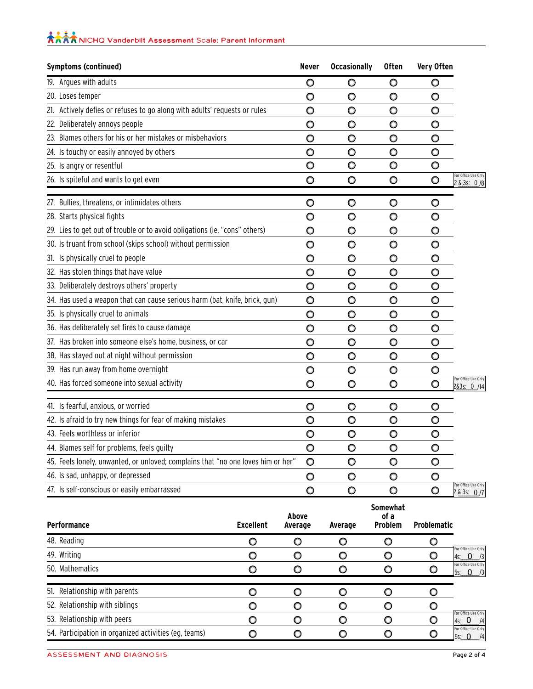| <b>大大大</b><br><b>大大大大</b> NICHO Vanderbilt Assessment Scale: Parent Informant |  |  |  |
|-------------------------------------------------------------------------------|--|--|--|
|                                                                               |  |  |  |

| <b>Symptoms (continued)</b>                                                      | Never          | <b>Occasionally</b> | <b>Often</b> | Very Often |                                    |
|----------------------------------------------------------------------------------|----------------|---------------------|--------------|------------|------------------------------------|
| 19. Argues with adults                                                           | $\circ$        | $\circ$             | $\circ$      | O          |                                    |
| 20. Loses temper                                                                 | O              | $\circ$             | $\circ$      | $\circ$    |                                    |
| 21. Actively defies or refuses to go along with adults' requests or rules        | $\circ$        | $\circ$             | $\circ$      | O          |                                    |
| 22. Deliberately annoys people                                                   | $\circ$        | $\circ$             | $\circ$      | O          |                                    |
| 23. Blames others for his or her mistakes or misbehaviors                        | $\circ$        | $\circ$             | $\circ$      | O          |                                    |
| 24. Is touchy or easily annoyed by others                                        | $\circ$        | $\circ$             | $\circ$      | $\circ$    |                                    |
| 25. Is angry or resentful                                                        | $\bullet$      | $\circ$             | $\circ$      | O          |                                    |
| 26. Is spiteful and wants to get even                                            | Ō              | $\circ$             | $\circ$      | $\circ$    | For Office Use Only<br>2 & 3s: 0/8 |
| 27. Bullies, threatens, or intimidates others                                    | $\circ$        | $\circ$             | $\circ$      | O          |                                    |
| 28. Starts physical fights                                                       | $\circ$        | $\circ$             | $\circ$      | O          |                                    |
| 29. Lies to get out of trouble or to avoid obligations (ie, "cons" others)       | O              | $\circ$             | $\circ$      | $\circ$    |                                    |
| 30. Is truant from school (skips school) without permission                      | $\bullet$      | $\circ$             | $\circ$      | $\circ$    |                                    |
| 31. Is physically cruel to people                                                | O              | $\circ$             | $\circ$      | O          |                                    |
| 32. Has stolen things that have value                                            | $\circ$        | $\circ$             | $\circ$      | $\circ$    |                                    |
| 33. Deliberately destroys others' property                                       | $\circ$        | $\circ$             | $\circ$      | $\circ$    |                                    |
| 34. Has used a weapon that can cause serious harm (bat, knife, brick, gun)       | $\circ$        | $\circ$             | $\circ$      | $\circ$    |                                    |
| 35. Is physically cruel to animals                                               | $\circ$        | $\circ$             | $\circ$      | O          |                                    |
| 36. Has deliberately set fires to cause damage                                   | $\circ$        | $\circ$             | $\circ$      | O          |                                    |
| 37. Has broken into someone else's home, business, or car                        | $\circ$        | $\circ$             | $\circ$      | $\circ$    |                                    |
| 38. Has stayed out at night without permission                                   | $\circ$        | $\circ$             | $\circ$      | O          |                                    |
| 39. Has run away from home overnight                                             | $\circ$        | O                   | $\circ$      | O          |                                    |
| 40. Has forced someone into sexual activity                                      | O              | $\circ$             | $\circ$      | O          | For Office Use Only<br>2&3s: 0 /14 |
| 41. Is fearful, anxious, or worried                                              | O              | $\circ$             | $\circ$      | $\circ$    |                                    |
| 42. Is afraid to try new things for fear of making mistakes                      | $\overline{O}$ | $\circ$             | $\circ$      | O          |                                    |
| 43. Feels worthless or inferior                                                  | $\circ$        | $\circ$             | $\circ$      | O          |                                    |
| 44. Blames self for problems, feels guilty                                       | $\circ$        | $\circ$             | $\circ$      | $\circ$    |                                    |
| 45. Feels lonely, unwanted, or unloved; complains that "no one loves him or her" | $\bullet$      | $\circ$             | $\circ$      | O          |                                    |
| 46. Is sad, unhappy, or depressed                                                | O              | $\circ$             | O            | $\circ$    |                                    |
| 47. Is self-conscious or easily embarrassed                                      | $\circ$        | $\circ$             | $\circ$      | O          | For Office Use Only<br>2 & 3s: 0/7 |

| <b>Performance</b>                                    | Excellent | Above<br>Average | Average | <b>Somewhat</b><br>of a<br>Problem | <b>Problematic</b> |                                                  |
|-------------------------------------------------------|-----------|------------------|---------|------------------------------------|--------------------|--------------------------------------------------|
| 48. Reading                                           |           | O                | O       |                                    |                    |                                                  |
| 49. Writing                                           |           | O                | O       |                                    |                    | For Office Use Only<br>$ 4s: 0 \t/3 $            |
| 50. Mathematics                                       |           | O                |         |                                    |                    | For Office Use Only<br>$ 5s: 0 \t/3 $            |
| 51. Relationship with parents                         |           | O                |         |                                    |                    |                                                  |
| 52. Relationship with siblings                        |           | O                |         |                                    |                    |                                                  |
| 53. Relationship with peers                           |           | O                | O       |                                    |                    | For Office Use Only<br>$4s$ : 0<br>$\frac{1}{4}$ |
| 54. Participation in organized activities (eg, teams) |           |                  |         |                                    |                    | For Office Use Only<br>$5s$ : 0<br> 4            |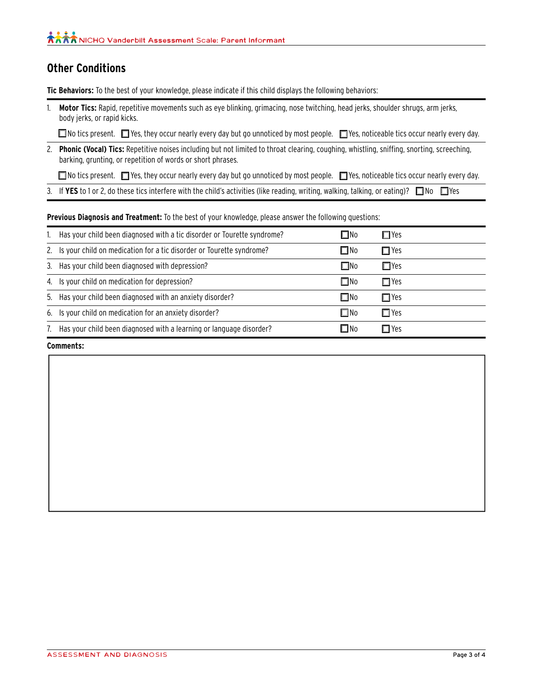## **Other Conditions**

**Tic Behaviors:** To the best of your knowledge, please indicate if this child displays the following behaviors:

1. **Motor Tics:** Rapid, repetitive movements such as eye blinking, grimacing, nose twitching, head jerks, shoulder shrugs, arm jerks, body jerks, or rapid kicks.

■ No tics present. ■ Yes, they occur nearly every day but go unnoticed by most people. ■ Yes, noticeable tics occur nearly every day.

2. Phonic (Vocal) Tics: Repetitive noises including but not limited to throat clearing, coughing, whistling, sniffing, snorting, screeching, barking, grunting, or repetition of words or short phrases.

■ No tics present. ■ Yes, they occur nearly every day but go unnoticed by most people. ■ Yes, noticeable tics occur nearly every day.

3. If YES to 1 or 2, do these tics interfere with the child's activities (like reading, writing, walking, talking, or eating)? No Yes

### **Previous Diagnosis and Treatment:** To the best of your knowledge, please answer the following questions:

| Has your child been diagnosed with a tic disorder or Tourette syndrome? | $\square$ No | $\Box$ Yes |
|-------------------------------------------------------------------------|--------------|------------|
| 2. Is your child on medication for a tic disorder or Tourette syndrome? | $\square$ No | $\Box$ Yes |
| 3. Has your child been diagnosed with depression?                       | $\square$ No | $\Box$ Yes |
| 4. Is your child on medication for depression?                          | $\square$ No | $\Box$ Yes |
| 5. Has your child been diagnosed with an anxiety disorder?              | $\square$ No | $\Box$ Yes |
| 6. Is your child on medication for an anxiety disorder?                 | $\square$ No | $\Box$ Yes |
| Has your child been diagnosed with a learning or language disorder?     | □No          | $\Box$ Yes |

**Comments:**